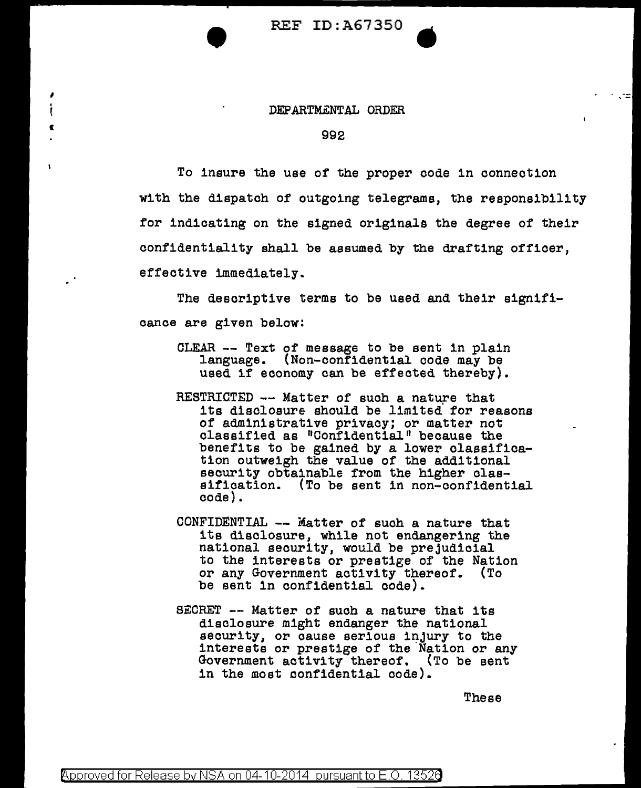REF ID:A67350

## DEPARTMENTAL ORDER

'<br>'

I

## 992

To insure the use of the proper code in connection with the dispatch of outgoing telegrams, the responsibility for indicating on the signed originals the degree of their confidentiality shall be assumed by the drafting officer, effective immediately.

The descriptive terms to be used and their significanoe are given below:

- CLEAR -- Text of message to be sent in plain language. (Non-confidential code may be used if economy can be effected thereby).
- RESTRICTED -- Matter of such a nature that its disclosure should be limited' for reasons of administrative privacy; or matter not classified as "Confidential" because the benefits to be gained by a lower classification outweigh the value of the additional security obtainable from the higher classification. (To be sent in non-confidential code).
- CONFIDENTIAL -- Matter of such a nature that its disclosure, while not endangering the national security, would be prejudicial to the interests or prestige of the Nation or any Government activity thereof. (To be sent in confidential code).
- SECRET -- Matter of such a nature that its disclosure might endanger the national security, or cause serious injury to the interests or prestige of the Nation or any Government activity thereof. (To be sent in the most confidential code).

These

ಾದ